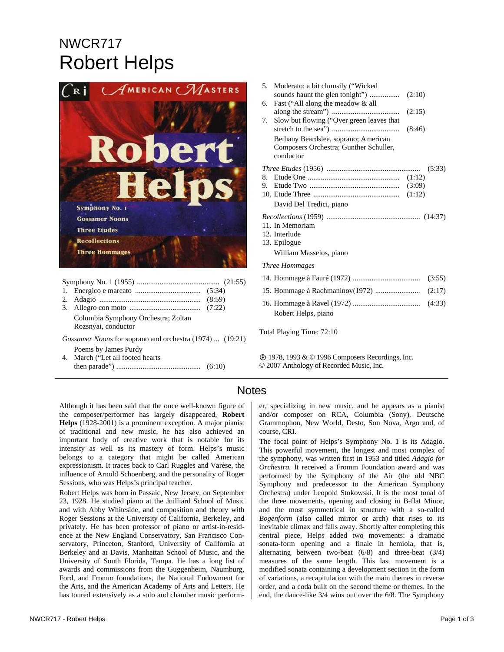## NWCR717 Robert Helps



|  | Columbia Symphony Orchestra; Zoltan |  |
|--|-------------------------------------|--|
|  | Rozsnyai, conductor                 |  |
|  |                                     |  |

*Gossamer Noons* for soprano and orchestra (1974) ... (19:21)

Poems by James Purdy 4. March ("Let all footed hearts then parade") ............................................. (6:10)

| 5. | Moderato: a bit clumsily ("Wicked                                                           |        |        |
|----|---------------------------------------------------------------------------------------------|--------|--------|
|    |                                                                                             |        |        |
| 6. | Fast ("All along the meadow & all                                                           | (2:15) |        |
| 7. | Slow but flowing ("Over green leaves that                                                   | (8:46) |        |
|    | Bethany Beardslee, soprano; American<br>Composers Orchestra; Gunther Schuller,<br>conductor |        |        |
|    |                                                                                             |        | (5:33) |
|    |                                                                                             |        |        |
|    |                                                                                             |        |        |
|    |                                                                                             |        |        |
|    | David Del Tredici, piano                                                                    |        |        |
|    |                                                                                             |        |        |
|    | 11. In Memoriam                                                                             |        |        |
|    | 12. Interlude<br>13. Epilogue                                                               |        |        |
|    |                                                                                             |        |        |
|    | William Masselos, piano                                                                     |        |        |
|    | Three Hommages                                                                              |        |        |
|    |                                                                                             |        | (3:55) |
|    |                                                                                             |        |        |
|    | Robert Helps, piano                                                                         |        | (4:33) |
|    |                                                                                             |        |        |

Total Playing Time: 72:10

Ê 1978, 1993 & © 1996 Composers Recordings, Inc. © 2007 Anthology of Recorded Music, Inc.

## **Notes**

Although it has been said that the once well-known figure of the composer/performer has largely disappeared, **Robert Helps** (1928*-*2001) is a prominent exception. A major pianist of traditional and new music, he has also achieved an important body of creative work that is notable for its intensity as well as its mastery of form. Helps's music belongs to a category that might be called American expressionism. It traces back to Carl Ruggles and Varèse, the influence of Arnold Schoenberg, and the personality of Roger Sessions, who was Helps's principal teacher.

Robert Helps was born in Passaic, New Jersey, on September 23, 1928. He studied piano at the Juilliard School of Music and with Abby Whiteside, and composition and theory with Roger Sessions at the University of California, Berkeley, and privately. He has been professor of piano or artist-in-residence at the New England Conservatory, San Francisco Conservatory, Princeton, Stanford, University of California at Berkeley and at Davis, Manhattan School of Music, and the University of South Florida, Tampa. He has a long list of awards and commissions from the Guggenheim, Naumburg, Ford, and Fromm foundations, the National Endowment for the Arts, and the American Academy of Arts and Letters. He has toured extensively as a solo and chamber music perform-

NWCR717 - Robert Helps **Page 1 of 3** and 2012 1 of 3 and 2012 1 of 3 and 2012 1 of 3 and 2012 1 of 3 and 2012 1 of 3 and 2013 1 of 3 and 2012 1 of 3 and 2012 1 of 3 and 2012 1 of 3 and 2012 1 of 3 and 2012 1 of 3 and 2012

er, specializing in new music, and he appears as a pianist and/or composer on RCA, Columbia (Sony), Deutsche Grammophon, New World, Desto, Son Nova, Argo and, of course, CRI.

The focal point of Helps's Symphony No. 1 is its Adagio. This powerful movement, the longest and most complex of the symphony, was written first in 1953 and titled *Adagio for Orchestra.* It received a Fromm Foundation award and was performed by the Symphony of the Air (the old NBC Symphony and predecessor to the American Symphony Orchestra) under Leopold Stokowski. It is the most tonal of the three movements, opening and closing in B-flat Minor, and the most symmetrical in structure with a so-called *Bogenform* (also called mirror or arch) that rises to its inevitable climax and falls away. Shortly after completing this central piece, Helps added two movements: a dramatic sonata-form opening and a finale in hemiola, that is, alternating between two-beat (6/8) and three-beat (3/4) measures of the same length. This last movement is a modified sonata containing a development section in the form of variations, a recapitulation with the main themes in reverse order, and a coda built on the second theme or themes. In the end, the dance-like 3/4 wins out over the 6/8. The Symphony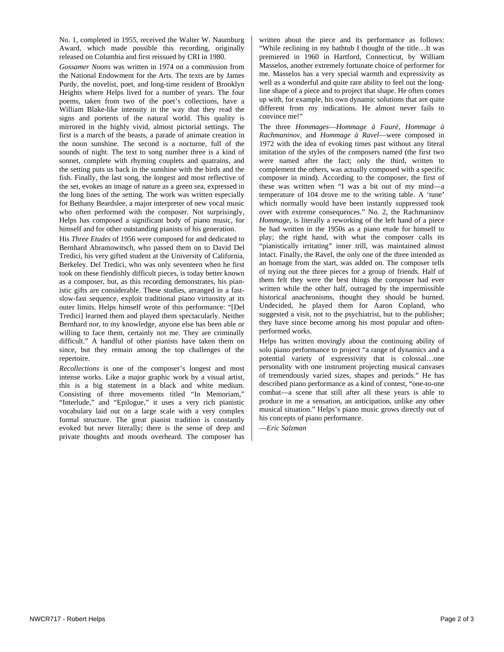No. 1, completed in 1955, received the Walter W. Naumburg Award, which made possible this recording, originally released on Columbia and first reissued by CRI in 1980.

*Gossamer Noons* was written in 1974 on a commission from the National Endowment for the Arts. The texts are by James Purdy, the novelist, poet, and long-time resident of Brooklyn Heights where Helps lived for a number of years. The four poems, taken from two of the poet's collections, have a William Blake-like intensity in the way that they read the signs and portents of the natural world. This quality is mirrored in the highly vivid, almost pictorial settings. The first is a march of the beasts, a parade of animate creation in the noon sunshine. The second is a nocturne, full of the sounds of night. The text to song number three is a kind of sonnet, complete with rhyming couplets and quatrains, and the setting puts us back in the sunshine with the birds and the fish. Finally, the last song, the longest and most reflective of the set, evokes an image of nature as a green sea, expressed in the long lines of the setting. The work was written especially for Bethany Beardslee, a major interpreter of new vocal music who often performed with the composer. Not surprisingly, Helps has composed a significant body of piano music, for himself and for other outstanding pianists of his generation.

His *Three Etudes* of 1956 were composed for and dedicated to Bernhard Abramowitsch, who passed them on to David Del Tredici, his very gifted student at the University of California, Berkeley. Del Tredici, who was only seventeen when he first took on these fiendishly difficult pieces, is today better known as a composer, but, as this recording demonstrates, his pianistic gifts are considerable. These studies, arranged in a fastslow-fast sequence, exploit traditional piano virtuosity at its outer limits. Helps himself wrote of this performance: "[Del Tredici] learned them and played them spectacularly. Neither Bernhard nor, to my knowledge, anyone else has been able or willing to face them, certainly not me. They are criminally difficult." A handful of other pianists have taken them on since, but they remain among the top challenges of the repertoire.

*Recollections* is one of the composer's longest and most intense works. Like a major graphic work by a visual artist, this is a big statement in a black and white medium. Consisting of three movements titled "In Memoriam," "Interlude," and "Epilogue," it uses a very rich pianistic vocabulary laid out on a large scale with a very complex formal structure. The great pianist tradition is constantly evoked but never literally; there is the sense of deep and private thoughts and moods overheard. The composer has

written about the piece and its performance as follows: "While reclining in my bathtub I thought of the title…It was premiered in 1960 in Hartford, Connecticut, by William Masselos, another extremely fortunate choice of performer for me. Masselos has a very special warmth and expressivity as well as a wonderful and quite rare ability to feel out the longline shape of a piece and to project that shape. He often comes up with, for example, his own dynamic solutions that are quite different from my indications. He almost never fails to convince me!"

The three *Hommages*—*Hommage à Fauré*, *Hommage à Rachmaninov*, and *Hommage à Ravel*—were composed in 1972 with the idea of evoking times past without any literal imitation of the styles of the composers named (the first two were named after the fact; only the third, written to complement the others, was actually composed with a specific composer in mind). According to the composer, the first of these was written when "I was a bit out of my mind—a temperature of 104 drove me to the writing table. A 'tune' which normally would have been instantly suppressed took over with extreme consequences." No. 2, the Rachmaninov *Hommage*, is literally a reworking of the left hand of a piece he had written in the 1950s as a piano etude for himself to play; the right hand, with what the composer calls its "pianistically irritating" inner trill, was maintained almost intact. Finally, the Ravel, the only one of the three intended as an homage from the start, was added on. The composer tells of trying out the three pieces for a group of friends. Half of them felt they were the best things the composer had ever written while the other half, outraged by the impermissible historical anachronisms, thought they should be burned. Undecided, he played them for Aaron Copland, who suggested a visit, not to the psychiatrist, but to the publisher; they have since become among his most popular and oftenperformed works.

Helps has written movingly about the continuing ability of solo piano performance to project "a range of dynamics and a potential variety of expressivity that is colossal…one personality with one instrument projecting musical canvases of tremendously varied sizes, shapes and periods." He has described piano performance as a kind of contest, "one-to-one combat—a scene that still after all these years is able to produce in me a sensation, an anticipation, unlike any other musical situation." Helps's piano music grows directly out of his concepts of piano performance.

—*Eric Salzman*